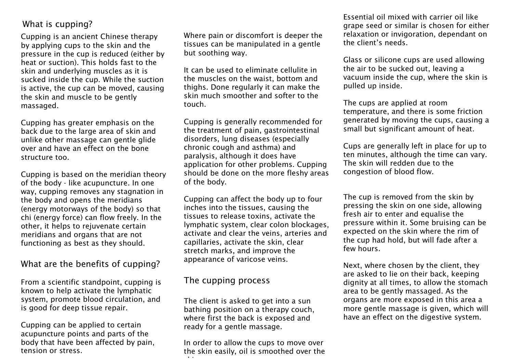# What is cupping?

Cupping is an ancient Chinese therapy by applying cups to the skin and the pressure in the cup is reduced (either by heat or suction). This holds fast to the skin and underlying muscles as it is sucked inside the cup. While the suction is active, the cup can be moved, causing the skin and muscle to be gently massaged.

Cupping has greater emphasis on the back due to the large area of skin and unlike other massage can gentle glide over and have an effect on the bone structure too.

Cupping is based on the meridian theory of the body - like acupuncture. In one way, cupping removes any stagnation in the body and opens the meridians (energy motorways of the body) so that chi (energy force) can flow freely. In the other, it helps to rejuvenate certain meridians and organs that are not functioning as best as they should.

#### What are the benefits of cupping?

From a scientific standpoint, cupping is known to help activate the lymphatic system, promote blood circulation, and is good for deep tissue repair.

Cupping can be applied to certain acupuncture points and parts of the body that have been affected by pain, tension or stress.

Where pain or discomfort is deeper the tissues can be manipulated in a gentle but soothing way.

It can be used to eliminate cellulite in the muscles on the waist, bottom and thighs. Done regularly it can make the skin much smoother and softer to the touch.

Cupping is generally recommended for the treatment of pain, gastrointestinal disorders, lung diseases (especially chronic cough and asthma) and paralysis, although it does have application for other problems. Cupping should be done on the more fleshy areas of the body.

Cupping can affect the body up to four inches into the tissues, causing the tissues to release toxins, activate the lymphatic system, clear colon blockages, activate and clear the veins, arteries and capillaries, activate the skin, clear stretch marks, and improve the appearance of varicose veins.

## The cupping process

skin.

The client is asked to get into a sun bathing position on a therapy couch, where first the back is exposed and ready for a gentle massage.

In order to allow the cups to move over the skin easily, oil is smoothed over the

Essential oil mixed with carrier oil like grape seed or similar is chosen for either relaxation or invigoration, dependant on the client's needs.

Glass or silicone cups are used allowing the air to be sucked out, leaving a vacuum inside the cup, where the skin is pulled up inside.

The cups are applied at room temperature, and there is some friction generated by moving the cups, causing a small but significant amount of heat.

Cups are generally left in place for up to ten minutes, although the time can vary. The skin will redden due to the congestion of blood flow.

The cup is removed from the skin by pressing the skin on one side, allowing fresh air to enter and equalise the pressure within it. Some bruising can be expected on the skin where the rim of the cup had hold, but will fade after a few hours.

Next, where chosen by the client, they are asked to lie on their back, keeping dignity at all times, to allow the stomach area to be gently massaged. As the organs are more exposed in this area a more gentle massage is given, which will have an effect on the digestive system.